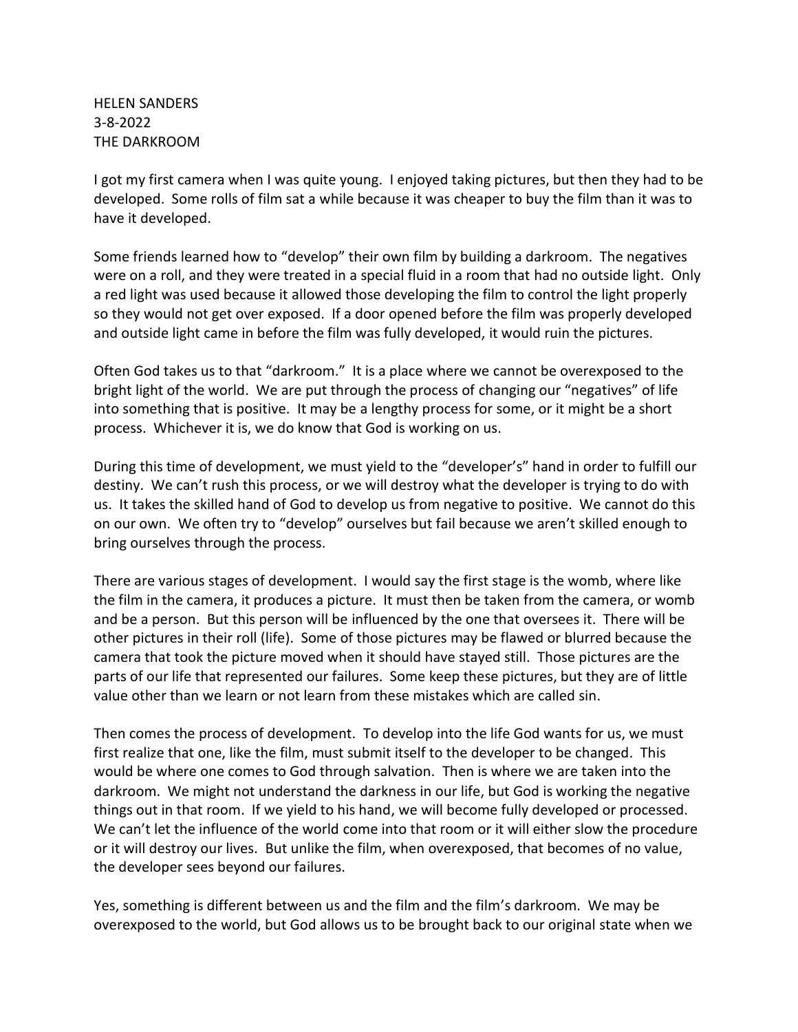HELEN SANDERS 3-8-2022 THE DARKROOM

I got my first camera when I was quite young. I enjoyed taking pictures, but then they had to be developed. Some rolls of film sat a while because it was cheaper to buy the film than it was to have it developed.

Some friends learned how to "develop" their own film by building a darkroom. The negatives were on a roll, and they were treated in a special fluid in a room that had no outside light. Only a red light was used because it allowed those developing the film to control the light properly so they would not get over exposed. If a door opened before the film was properly developed and outside light came in before the film was fully developed, it would ruin the pictures.

Often God takes us to that "darkroom." It is a place where we cannot be overexposed to the bright light of the world. We are put through the process of changing our "negatives" of life into something that is positive. It may be a lengthy process for some, or it might be a short process. Whichever it is, we do know that God is working on us.

During this time of development, we must yield to the "developer's" hand in order to fulfill our destiny. We can't rush this process, or we will destroy what the developer is trying to do with us. It takes the skilled hand of God to develop us from negative to positive. We cannot do this on our own. We often try to "develop" ourselves but fail because we aren't skilled enough to bring ourselves through the process.

There are various stages of development. I would say the first stage is the womb, where like the film in the camera, it produces a picture. It must then be taken from the camera, or womb and be a person. But this person will be influenced by the one that oversees it. There will be other pictures in their roll (life). Some of those pictures may be flawed or blurred because the camera that took the picture moved when it should have stayed still. Those pictures are the parts of our life that represented our failures. Some keep these pictures, but they are of little value other than we learn or not learn from these mistakes which are called sin.

Then comes the process of development. To develop into the life God wants for us, we must first realize that one, like the film, must submit itself to the developer to be changed. This would be where one comes to God through salvation. Then is where we are taken into the darkroom. We might not understand the darkness in our life, but God is working the negative things out in that room. If we yield to his hand, we will become fully developed or processed. We can't let the influence of the world come into that room or it will either slow the procedure or it will destroy our lives. But unlike the film, when overexposed, that becomes of no value, the developer sees beyond our failures.

Yes, something is different between us and the film and the film's darkroom. We may be overexposed to the world, but God allows us to be brought back to our original state when we